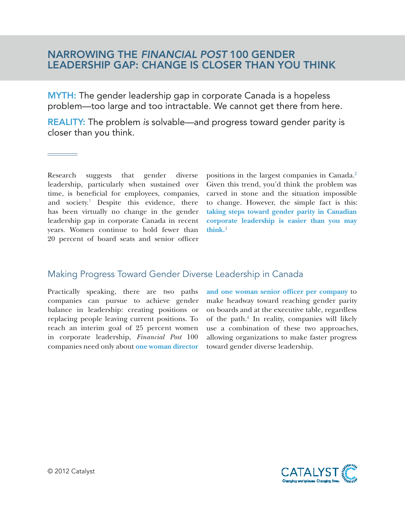## NARROWING THE *FINANCIAL POST* 100 GENDER LEADERSHIP GAP: CHANGE IS CLOSER THAN YOU THINK

MYTH: The gender leadership gap in corporate Canada is a hopeless problem—too large and too intractable. We cannot get there from here.

REALITY: The problem *is* solvable—and progress toward gender parity is closer than you think.

Research suggests that gender diverse leadership, particularly when sustained over time, is beneficial for employees, companies, and society.<sup>1</sup> Despite this evidence, there has been virtually no change in the gender leadership gap in corporate Canada in recent years. Women continue to hold fewer than 20 percent of board seats and senior officer

positions in the largest companies in Canada.<sup>2</sup> Given this trend, you'd think the problem was carved in stone and the situation impossible to change. However, the simple fact is this: **taking steps toward gender parity in Canadian corporate leadership is easier than you may think.**<sup>3</sup>

## Making Progress Toward Gender Diverse Leadership in Canada

Practically speaking, there are two paths companies can pursue to achieve gender balance in leadership: creating positions or replacing people leaving current positions. To reach an interim goal of 25 percent women in corporate leadership, *Financial Post* 100 companies need only about **one woman director**  **and one woman senior officer per company** to make headway toward reaching gender parity on boards and at the executive table, regardless of the path.<sup>4</sup> In reality, companies will likely use a combination of these two approaches, allowing organizations to make faster progress toward gender diverse leadership.

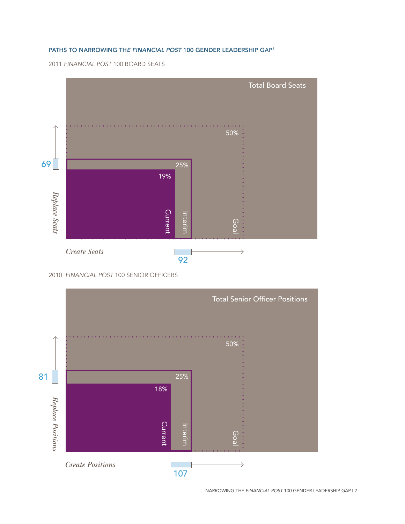## Paths to Narrowing th*e Financial Post* 100 Gender Leadership Gap5

2011 *Financial Post* 100 BOARD SEATS



<sup>2010</sup> *Financial Post* 100 SENIOR OFFICERS



NARROWING THE *FINANCIAL POST* 100 GENDER LEADERSHIP GAP | 2